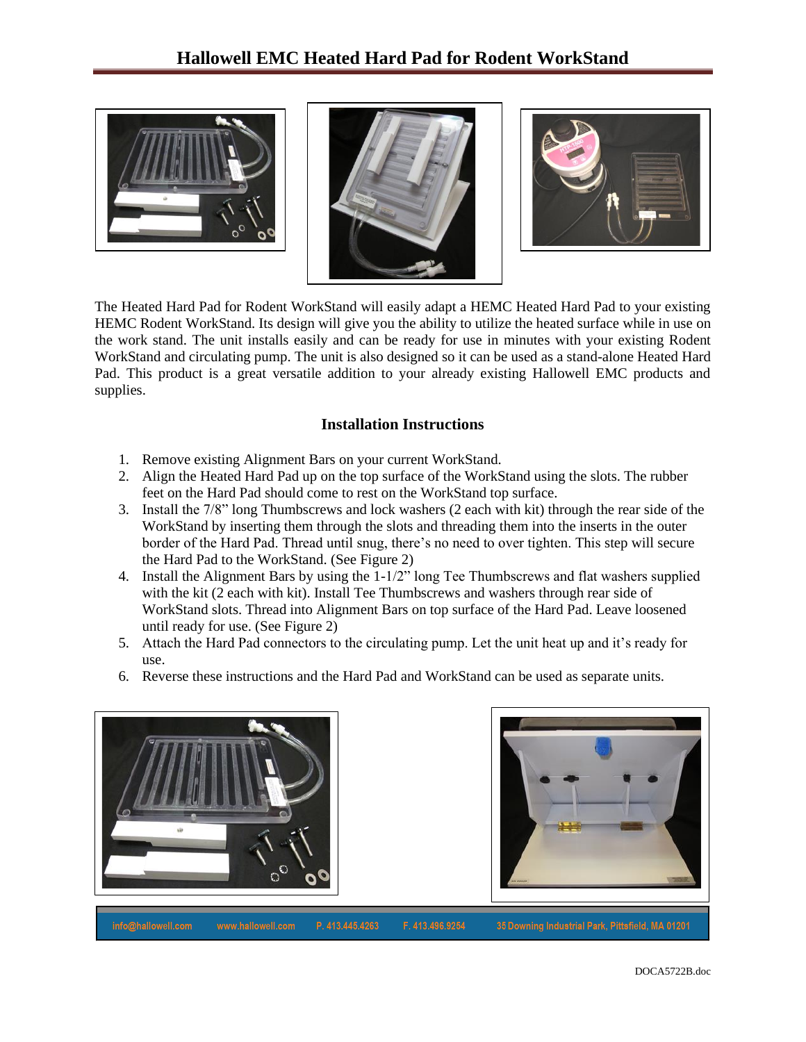





The Heated Hard Pad for Rodent WorkStand will easily adapt a HEMC Heated Hard Pad to your existing HEMC Rodent WorkStand. Its design will give you the ability to utilize the heated surface while in use on the work stand. The unit installs easily and can be ready for use in minutes with your existing Rodent WorkStand and circulating pump. The unit is also designed so it can be used as a stand-alone Heated Hard Pad. This product is a great versatile addition to your already existing Hallowell EMC products and supplies.

## **Installation Instructions**

- 1. Remove existing Alignment Bars on your current WorkStand.
- 2. Align the Heated Hard Pad up on the top surface of the WorkStand using the slots. The rubber feet on the Hard Pad should come to rest on the WorkStand top surface.
- 3. Install the 7/8" long Thumbscrews and lock washers (2 each with kit) through the rear side of the WorkStand by inserting them through the slots and threading them into the inserts in the outer border of the Hard Pad. Thread until snug, there's no need to over tighten. This step will secure the Hard Pad to the WorkStand. (See Figure 2)
- 4. Install the Alignment Bars by using the 1-1/2" long Tee Thumbscrews and flat washers supplied with the kit (2 each with kit). Install Tee Thumbscrews and washers through rear side of WorkStand slots. Thread into Alignment Bars on top surface of the Hard Pad. Leave loosened until ready for use. (See Figure 2)
- 5. Attach the Hard Pad connectors to the circulating pump. Let the unit heat up and it's ready for use.
- 6. Reverse these instructions and the Hard Pad and WorkStand can be used as separate units.





P. 413.445.4263 F. 413.496.9254 info@hallowell.com